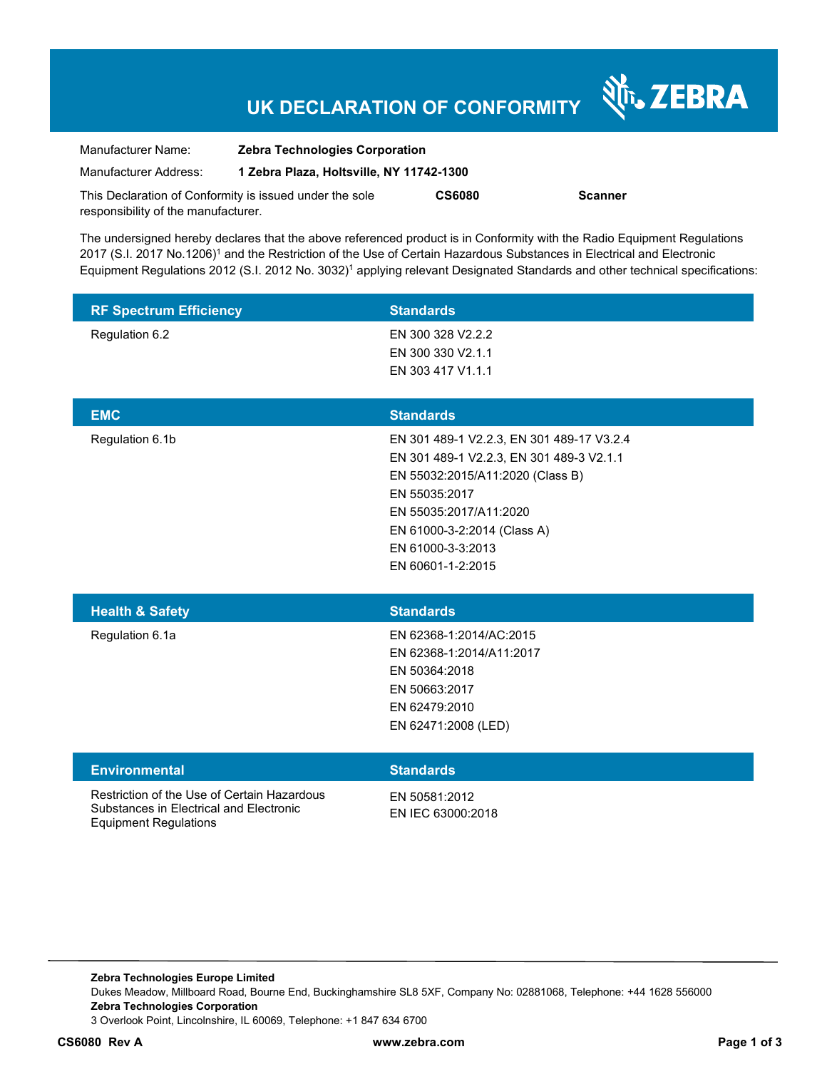# **UK DECLARATION OF CONFORMITY**

Nr. ZEBRA

| Manufacturer Name:                                      | <b>Zebra Technologies Corporation</b>    |               |         |
|---------------------------------------------------------|------------------------------------------|---------------|---------|
| Manufacturer Address:                                   | 1 Zebra Plaza, Holtsville, NY 11742-1300 |               |         |
| This Declaration of Conformity is issued under the sole |                                          | <b>CS6080</b> | Scanner |
| responsibility of the manufacturer.                     |                                          |               |         |

The undersigned hereby declares that the above referenced product is in Conformity with the Radio Equipment Regulations 2017 (S.I. 2017 No.1206)<sup>1</sup> and the Restriction of the Use of Certain Hazardous Substances in Electrical and Electronic Equipment Regulations 2012 (S.I. 2012 No. 3032)<sup>1</sup> applying relevant Designated Standards and other technical specifications:

| <b>RF Spectrum Efficiency</b> | <b>Standards</b>                          |
|-------------------------------|-------------------------------------------|
| Regulation 6.2                | EN 300 328 V2.2.2                         |
|                               | EN 300 330 V2.1.1                         |
|                               | EN 303 417 V1.1.1                         |
|                               |                                           |
| <b>EMC</b>                    | <b>Standards</b>                          |
| Regulation 6.1b               | EN 301 489-1 V2.2.3, EN 301 489-17 V3.2.4 |
|                               | EN 301 489-1 V2.2.3, EN 301 489-3 V2.1.1  |
|                               | EN 55032:2015/A11:2020 (Class B)          |
|                               | EN 55035:2017                             |
|                               | EN 55035:2017/A11:2020                    |
|                               | EN 61000-3-2:2014 (Class A)               |
|                               | EN 61000-3-3:2013                         |
|                               | EN 60601-1-2:2015                         |
|                               |                                           |
| <b>Health &amp; Safety</b>    | <b>Standards</b>                          |

| <b>Health &amp; Salety</b> | <b>Standards</b>         |
|----------------------------|--------------------------|
| Regulation 6.1a            | EN 62368-1:2014/AC:2015  |
|                            | EN 62368-1:2014/A11:2017 |
|                            | EN 50364:2018            |
|                            | EN 50663:2017            |
|                            | EN 62479:2010            |
|                            | EN 62471:2008 (LED)      |
|                            |                          |

| <b>Environmental</b>                                                                                                   | <b>Standards</b>                   |
|------------------------------------------------------------------------------------------------------------------------|------------------------------------|
| Restriction of the Use of Certain Hazardous<br>Substances in Electrical and Electronic<br><b>Equipment Regulations</b> | EN 50581:2012<br>EN IEC 63000:2018 |

**Zebra Technologies Europe Limited**  Dukes Meadow, Millboard Road, Bourne End, Buckinghamshire SL8 5XF, Company No: 02881068, Telephone: +44 1628 556000 **Zebra Technologies Corporation**  3 Overlook Point, Lincolnshire, IL 60069, Telephone: +1 847 634 6700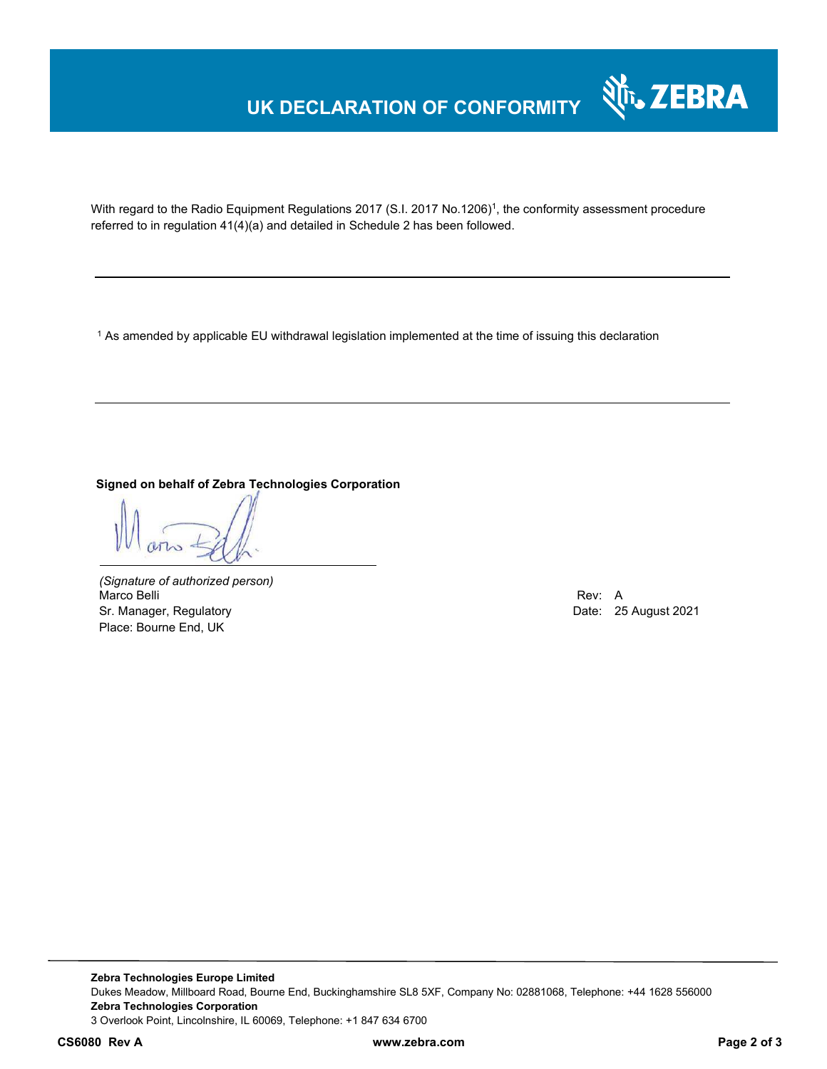## **UK DECLARATION OF CONFORMITY**



With regard to the Radio Equipment Regulations 2017 (S.I. 2017 No.1206)<sup>1</sup>, the conformity assessment procedure referred to in regulation 41(4)(a) and detailed in Schedule 2 has been followed.

 $^{\rm 1}$  As amended by applicable EU withdrawal legislation implemented at the time of issuing this declaration

**Signed on behalf of Zebra Technologies Corporation** 

*(Signature of authorized person)* Marco Belli Rev: A Sr. Manager, Regulatory **Date: 25 August 2021** Place: Bourne End, UK

**Zebra Technologies Europe Limited**  Dukes Meadow, Millboard Road, Bourne End, Buckinghamshire SL8 5XF, Company No: 02881068, Telephone: +44 1628 556000 **Zebra Technologies Corporation**  3 Overlook Point, Lincolnshire, IL 60069, Telephone: +1 847 634 6700